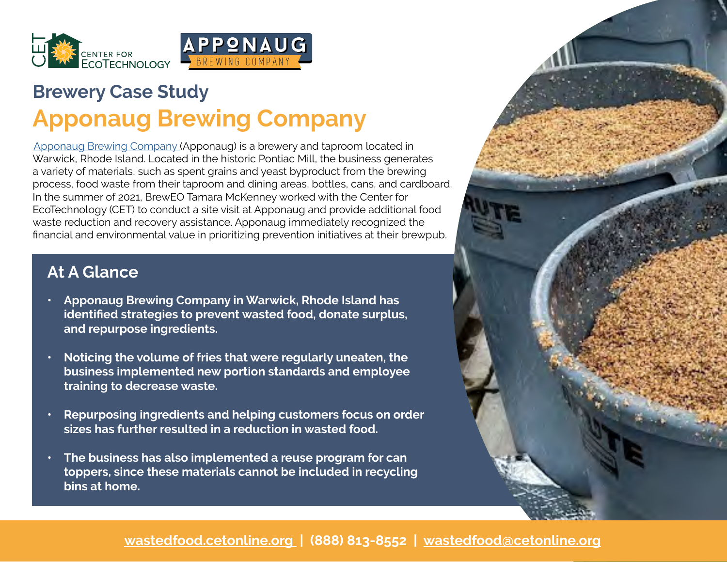

# **[Brewery Case St](https://recyclingworksma.com/)udy Apponaug Brewing Company**

[Apponaug Brewing Company \(](https://www.apponaugbrewing.com/)Apponaug) is a brewery and taproom located in Warwick, Rhode Island. Located in the historic Pontiac Mill, the business generates a variety of materials, such as spent grains and yeast byproduct from the brewing process, food waste from their taproom and dining areas, bottles, cans, and cardboard. In the summer of 2021, BrewEO Tamara McKenney worked with the Center for EcoTechnology (CET) to conduct a site visit at Apponaug and provide additional food waste reduction and recovery assistance. Apponaug immediately recognized the financial and environmental value in prioritizing prevention initiatives at their brewpub.

## **At A Glance**

- **• Apponaug Brewing Company in Warwick, Rhode Island has identified strategies to prevent wasted food, donate surplus, and repurpose ingredients.**
- **• Noticing the volume of fries that were regularly uneaten, the business implemented new portion standards and employee training to decrease waste.**
- **• Repurposing ingredients and helping customers focus on order sizes has further resulted in a reduction in wasted food.**
- **• The business has also implemented a reuse program for can toppers, since these materials cannot be included in recycling bins at home.**



#### **[wastedfood.cetonline.org](http://wastedfood.cetonline.org) | (888) 813-8552 | [wastedfood@cetonline.org](mailto:wastedfood%40cetonline.org?subject=)**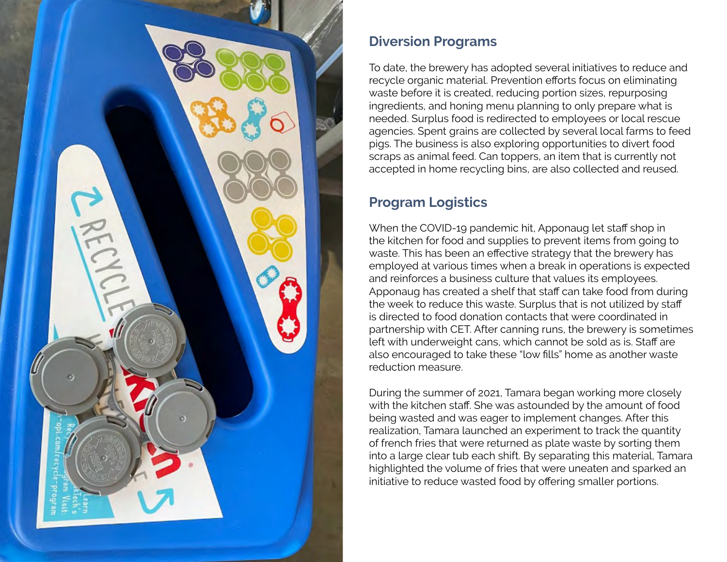

#### **Diversion Programs**

To date, the brewery has adopted several initiatives to reduce and recycle organic material. Prevention efforts focus on eliminating waste before it is created, reducing portion sizes, repurposing ingredients, and honing menu planning to only prepare what is needed. Surplus food is redirected to employees or local rescue agencies. Spent grains are collected by several local farms to feed pigs. The business is also exploring opportunities to divert food scraps as animal feed. Can toppers, an item that is currently not accepted in home recycling bins, are also collected and reused.

### **Program Logistics**

When the COVID-19 pandemic hit, Apponaug let staff shop in the kitchen for food and supplies to prevent items from going to waste. This has been an effective strategy that the brewery has employed at various times when a break in operations is expected and reinforces a business culture that values its employees. Apponaug has created a shelf that staff can take food from during the week to reduce this waste. Surplus that is not utilized by staff is directed to food donation contacts that were coordinated in partnership with CET. After canning runs, the brewery is sometimes left with underweight cans, which cannot be sold as is. Staff are also encouraged to take these "low fills" home as another waste reduction measure.

During the summer of 2021, Tamara began working more closely with the kitchen staff. She was astounded by the amount of food being wasted and was eager to implement changes. After this realization, Tamara launched an experiment to track the quantity of french fries that were returned as plate waste by sorting them into a large clear tub each shift. By separating this material, Tamara highlighted the volume of fries that were uneaten and sparked an initiative to reduce wasted food by offering smaller portions.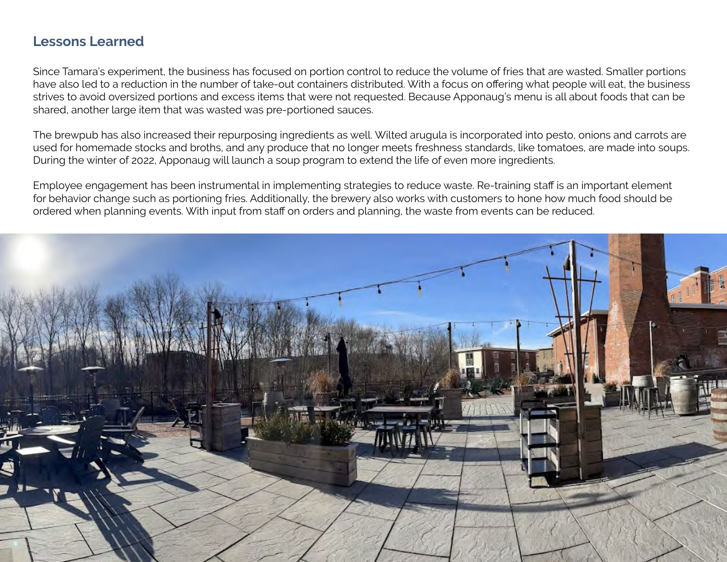#### **Lessons Learned**

Since Tamara's experiment, the business has focused on portion control to reduce the volume of fries that are wasted. Smaller portions have also led to a reduction in the number of take-out containers distributed. With a focus on offering what people will eat, the business strives to avoid oversized portions and excess items that were not requested. Because Apponaug's menu is all about foods that can be shared, another large item that was wasted was pre-portioned sauces.

The brewpub has also increased their repurposing ingredients as well. Wilted arugula is incorporated into pesto, onions and carrots are used for homemade stocks and broths, and any produce that no longer meets freshness standards, like tomatoes, are made into soups. During the winter of 2022, Apponaug will launch a soup program to extend the life of even more ingredients.

Employee engagement has been instrumental in implementing strategies to reduce waste. Re-training staff is an important element for behavior change such as portioning fries. Additionally, the brewery also works with customers to hone how much food should be ordered when planning events. With input from staff on orders and planning, the waste from events can be reduced.